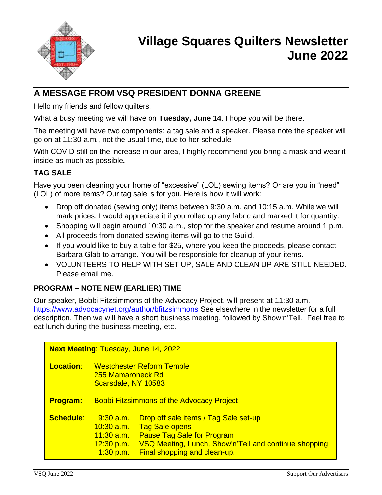

# **A MESSAGE FROM VSQ PRESIDENT DONNA GREENE**

Hello my friends and fellow quilters,

What a busy meeting we will have on **Tuesday, June 14**. I hope you will be there.

The meeting will have two components: a tag sale and a speaker. Please note the speaker will go on at 11:30 a.m., not the usual time, due to her schedule.

With COVID still on the increase in our area, I highly recommend you bring a mask and wear it inside as much as possible**.** 

## **TAG SALE**

Have you been cleaning your home of "excessive" (LOL) sewing items? Or are you in "need" (LOL) of more items? Our tag sale is for you. Here is how it will work:

- Drop off donated (sewing only) items between 9:30 a.m. and 10:15 a.m. While we will mark prices, I would appreciate it if you rolled up any fabric and marked it for quantity.
- Shopping will begin around 10:30 a.m., stop for the speaker and resume around 1 p.m.
- All proceeds from donated sewing items will go to the Guild.
- If you would like to buy a table for \$25, where you keep the proceeds, please contact Barbara Glab to arrange. You will be responsible for cleanup of your items.
- VOLUNTEERS TO HELP WITH SET UP, SALE AND CLEAN UP ARE STILL NEEDED. Please email me.

## **PROGRAM – NOTE NEW (EARLIER) TIME**

Our speaker, Bobbi Fitzsimmons of the Advocacy Project, will present at 11:30 a.m. <https://www.advocacynet.org/author/bfitzsimmons> See elsewhere in the newsletter for a full description. Then we will have a short business meeting, followed by Show'n'Tell. Feel free to eat lunch during the business meeting, etc.

| <b>Next Meeting: Tuesday, June 14, 2022</b> |                                                                                  |                                                                                                                                                                                              |  |
|---------------------------------------------|----------------------------------------------------------------------------------|----------------------------------------------------------------------------------------------------------------------------------------------------------------------------------------------|--|
| <b>Location:</b>                            | <b>Westchester Reform Temple</b><br>255 Mamaroneck Rd<br>Scarsdale, NY 10583     |                                                                                                                                                                                              |  |
| <b>Program:</b>                             | <b>Bobbi Fitzsimmons of the Advocacy Project</b>                                 |                                                                                                                                                                                              |  |
| <b>Schedule:</b>                            | <u>9:30 a.m.</u><br><u>10:30 a.m.</u><br>$11:30$ a.m.<br>12:30 p.m.<br>1:30 p.m. | Drop off sale items / Tag Sale set-up<br><b>Tag Sale opens</b><br><b>Pause Tag Sale for Program</b><br>VSQ Meeting, Lunch, Show'n'Tell and continue shopping<br>Final shopping and clean-up. |  |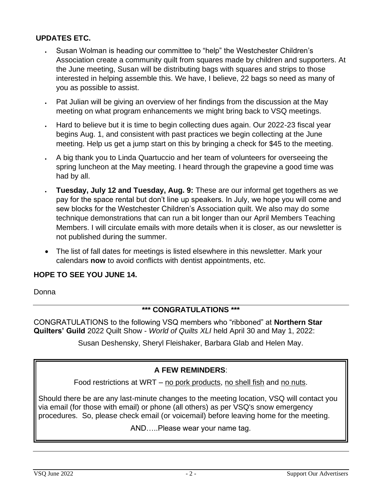#### **UPDATES ETC.**

- Susan Wolman is heading our committee to "help" the Westchester Children's Association create a community quilt from squares made by children and supporters. At the June meeting, Susan will be distributing bags with squares and strips to those interested in helping assemble this. We have, I believe, 22 bags so need as many of you as possible to assist.
- Pat Julian will be giving an overview of her findings from the discussion at the May meeting on what program enhancements we might bring back to VSQ meetings.
- Hard to believe but it is time to begin collecting dues again. Our 2022-23 fiscal year begins Aug. 1, and consistent with past practices we begin collecting at the June meeting. Help us get a jump start on this by bringing a check for \$45 to the meeting.
- A big thank you to Linda Quartuccio and her team of volunteers for overseeing the spring luncheon at the May meeting. I heard through the grapevine a good time was had by all.
- **Tuesday, July 12 and Tuesday, Aug. 9:** These are our informal get togethers as we pay for the space rental but don't line up speakers. In July, we hope you will come and sew blocks for the Westchester Children's Association quilt. We also may do some technique demonstrations that can run a bit longer than our April Members Teaching Members. I will circulate emails with more details when it is closer, as our newsletter is not published during the summer.
- The list of fall dates for meetings is listed elsewhere in this newsletter. Mark your calendars **now** to avoid conflicts with dentist appointments, etc.

## **HOPE TO SEE YOU JUNE 14.**

Donna

## **\*\*\* CONGRATULATIONS \*\*\***

CONGRATULATIONS to the following VSQ members who "ribboned" at **Northern Star Quilters' Guild** 2022 Quilt Show - *World of Quilts XLI* held April 30 and May 1, 2022:

Susan Deshensky, Sheryl Fleishaker, Barbara Glab and Helen May.

#### **A FEW REMINDERS**:

Food restrictions at WRT – no pork products, no shell fish and no nuts.

Should there be are any last-minute changes to the meeting location, VSQ will contact you via email (for those with email) or phone (all others) as per VSQ's snow emergency procedures. So, please check email (or voicemail) before leaving home for the meeting.

AND…..Please wear your name tag.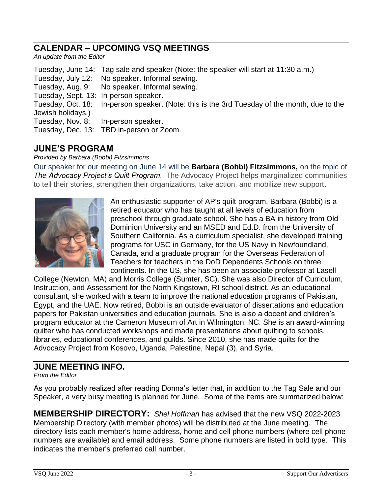# **CALENDAR – UPCOMING VSQ MEETINGS**

*An update from the Editor*

Tuesday, June 14: Tag sale and speaker (Note: the speaker will start at 11:30 a.m.) Tuesday, July 12: No speaker. Informal sewing. Tuesday, Aug. 9: No speaker. Informal sewing. Tuesday, Sept. 13: In-person speaker. Tuesday, Oct. 18: In-person speaker. (Note: this is the 3rd Tuesday of the month, due to the Jewish holidays.) Tuesday, Nov. 8: In-person speaker. Tuesday, Dec. 13: TBD in-person or Zoom.

## **JUNE'S PROGRAM**

#### *Provided by Barbara (Bobbi) Fitzsimmons*

Our speaker for our meeting on June 14 will be **Barbara (Bobbi) Fitzsimmons,** on the topic of *The Advocacy Project's Quilt Program.* The Advocacy Project helps marginalized communities to tell their stories, strengthen their organizations, take action, and mobilize new support.



An enthusiastic supporter of AP's quilt program, Barbara (Bobbi) is a retired educator who has taught at all levels of education from preschool through graduate school. She has a BA in history from Old Dominion University and an MSED and Ed.D. from the University of Southern California. As a curriculum specialist, she developed training programs for USC in Germany, for the US Navy in Newfoundland, Canada, and a graduate program for the Overseas Federation of Teachers for teachers in the DoD Dependents Schools on three continents. In the US, she has been an associate professor at Lasell

College (Newton, MA) and Morris College (Sumter, SC). She was also Director of Curriculum, Instruction, and Assessment for the North Kingstown, RI school district. As an educational consultant, she worked with a team to improve the national education programs of Pakistan, Egypt, and the UAE. Now retired, Bobbi is an outside evaluator of dissertations and education papers for Pakistan universities and education journals. She is also a docent and children's program educator at the Cameron Museum of Art in Wilmington, NC. She is an award-winning quilter who has conducted workshops and made presentations about quilting to schools, libraries, educational conferences, and guilds. Since 2010, she has made quilts for the Advocacy Project from Kosovo, Uganda, Palestine, Nepal (3), and Syria.

## **JUNE MEETING INFO.**

*From the Editor*

As you probably realized after reading Donna's letter that, in addition to the Tag Sale and our Speaker, a very busy meeting is planned for June. Some of the items are summarized below:

**MEMBERSHIP DIRECTORY:** *Shel Hoffman* has advised that the new VSQ 2022-2023 Membership Directory (with member photos) will be distributed at the June meeting. The directory lists each member's home address, home and cell phone numbers (where cell phone numbers are available) and email address. Some phone numbers are listed in bold type. This indicates the member's preferred call number.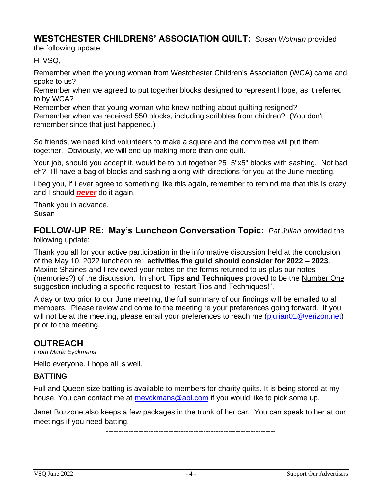# **WESTCHESTER CHILDRENS' ASSOCIATION QUILT:** *Susan Wolman* provided

the following update:

Hi VSQ,

Remember when the young woman from Westchester Children's Association (WCA) came and spoke to us?

Remember when we agreed to put together blocks designed to represent Hope, as it referred to by WCA?

Remember when that young woman who knew nothing about quilting resigned? Remember when we received 550 blocks, including scribbles from children? (You don't remember since that just happened.)

So friends, we need kind volunteers to make a square and the committee will put them together. Obviously, we will end up making more than one quilt.

Your job, should you accept it, would be to put together 25 5"x5" blocks with sashing. Not bad eh? I'll have a bag of blocks and sashing along with directions for you at the June meeting.

I beg you, if I ever agree to something like this again, remember to remind me that this is crazy and I should *never* do it again.

Thank you in advance. Susan

# **FOLLOW-UP RE: May's Luncheon Conversation Topic:** *Pat Julian* provided the

following update:

Thank you all for your active participation in the informative discussion held at the conclusion of the May 10, 2022 luncheon re: **activities the guild should consider for 2022 – 2023**. Maxine Shaines and I reviewed your notes on the forms returned to us plus our notes (memories?) of the discussion. In short, **Tips and Techniques** proved to be the Number One suggestion including a specific request to "restart Tips and Techniques!".

A day or two prior to our June meeting, the full summary of our findings will be emailed to all members. Please review and come to the meeting re your preferences going forward. If you will not be at the meeting, please email your preferences to reach me (piulian01@verizon.net) prior to the meeting.

## **OUTREACH**

*From Maria Eyckmans* 

Hello everyone. I hope all is well.

#### **BATTING**

Full and Queen size batting is available to members for charity quilts. It is being stored at my house. You can contact me at [meyckmans@aol.com](mailto:meyckmans@aol.com) if you would like to pick some up.

Janet Bozzone also keeps a few packages in the trunk of her car. You can speak to her at our meetings if you need batting.

--------------------------------------------------------------------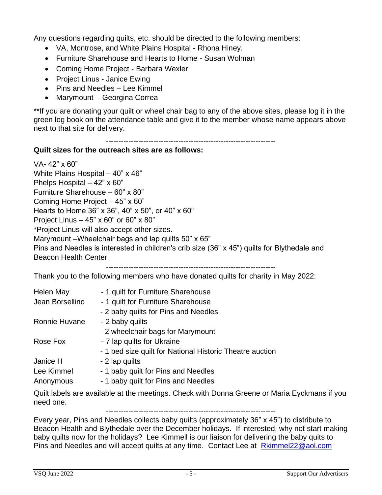Any questions regarding quilts, etc. should be directed to the following members:

- VA, Montrose, and White Plains Hospital Rhona Hiney.
- Furniture Sharehouse and Hearts to Home Susan Wolman
- Coming Home Project Barbara Wexler
- Project Linus Janice Ewing
- Pins and Needles Lee Kimmel
- Marymount Georgina Correa

\*\*If you are donating your quilt or wheel chair bag to any of the above sites, please log it in the green log book on the attendance table and give it to the member whose name appears above next to that site for delivery.

--------------------------------------------------------------------

#### **Quilt sizes for the outreach sites are as follows:**

VA- 42" x 60" White Plains Hospital – 40" x 46" Phelps Hospital – 42" x 60" Furniture Sharehouse – 60" x 80" Coming Home Project – 45" x 60" Hearts to Home 36" x 36", 40" x 50", or 40" x 60" Project Linus – 45" x 60" or 60" x 80" \*Project Linus will also accept other sizes. Marymount – Wheelchair bags and lap quilts 50" x 65" Pins and Needles is interested in children's crib size (36" x 45") quilts for Blythedale and Beacon Health Center

--------------------------------------------------------------------

Thank you to the following members who have donated quilts for charity in May 2022:

| Helen May       | - 1 quilt for Furniture Sharehouse                       |
|-----------------|----------------------------------------------------------|
| Jean Borsellino | - 1 quilt for Furniture Sharehouse                       |
|                 | - 2 baby quilts for Pins and Needles                     |
| Ronnie Huvane   | - 2 baby quilts                                          |
|                 | - 2 wheelchair bags for Marymount                        |
| Rose Fox        | - 7 lap quilts for Ukraine                               |
|                 | - 1 bed size quilt for National Historic Theatre auction |
| Janice H        | - 2 lap quilts                                           |
| Lee Kimmel      | - 1 baby quilt for Pins and Needles                      |
| Anonymous       | - 1 baby quilt for Pins and Needles                      |

Quilt labels are available at the meetings. Check with Donna Greene or Maria Eyckmans if you need one.

Every year, Pins and Needles collects baby quilts (approximately 36" x 45") to distribute to

Beacon Health and Blythedale over the December holidays. If interested, why not start making baby quilts now for the holidays? Lee Kimmell is our liaison for delivering the baby quits to Pins and Needles and will accept quilts at any time. Contact Lee at [Rkimmel22@aol.com](mailto:Rkimmel22@aol.com)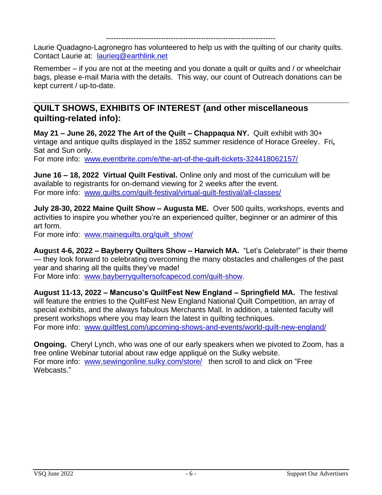--------------------------------------------------------------------

Laurie Quadagno-Lagronegro has volunteered to help us with the quilting of our charity quilts. Contact Laurie at: [laurieq@earthlink.net](mailto:laurieq@earthlink.net)

Remember – if you are not at the meeting and you donate a quilt or quilts and / or wheelchair bags, please e-mail Maria with the details. This way, our count of Outreach donations can be kept current / up-to-date.

## **QUILT SHOWS, EXHIBITS OF INTEREST (and other miscellaneous quilting-related info):**

**May 21 – June 26, 2022 The Art of the Quilt – Chappaqua NY.** Quilt exhibit with 30+ vintage and antique quilts displayed in the 1852 summer residence of Horace Greeley. Fri**,**  Sat and Sun only.

For more info: [www.eventbrite.com/e/the-](http://www.eventbrite.com/e/the)art-of-the-quilt-tickets-324418062157/

**June 16 – 18, 2022 Virtual Quilt Festival.** Online only and most of the curriculum will be available to registrants for on-demand viewing for 2 weeks after the event. For more info: [www.quilts.com/quilt-festival/virtual-quilt-festival/all-classes/](http://www.quilts.com/quilt-festival/virtual-quilt-festival/all-classes/)

**July 28-30, 2022 Maine Quilt Show – Augusta ME.** Over 500 quilts, workshops, events and activities to inspire you whether you're an experienced quilter, beginner or an admirer of this art form.

For more info: [www.mainequilts.org/quilt\\_show/](http://www.mainequilts.org/quilt_show/)

**Augu**s**t 4-6, 2022 – Bayberry Quilters Show – Harwich MA.** "Let's Celebrate!" is their theme — they look forward to celebrating overcoming the many obstacles and challenges of the past year and sharing all the quilts they've made! For More info: [www.bayberryquiltersofcapecod.com/quilt-show.](http://www.bayberryquiltersofcapecod.com/quilt-show)

**August 11-13, 2022 – Mancuso's QuiltFest New England – Springfield MA.** The festival will feature the entries to the QuiltFest New England National Quilt Competition, an array of special exhibits, and the always fabulous Merchants Mall. In addition, a talented faculty will present workshops where you may learn the latest in quilting techniques. For more info: [www.quiltfest.com/upcoming-shows-and-events/world-quilt-new-england/](http://www.quiltfest.com/upcoming-shows-and-events/world-quilt-new-england/) 

**Ongoing.** Cheryl Lynch, who was one of our early speakers when we pivoted to Zoom, has a free online Webinar tutorial about raw edge appliqué on the Sulky website. For more info: [www.sewingonline.sulky.com/store/](http://www.sewingonline.sulky.com/store/) then scroll to and click on "Free Webcasts."